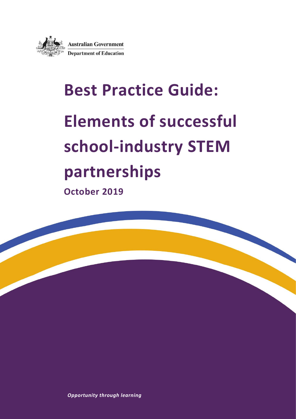

# **Best Practice Guide: Elements of successful school-industry STEM partnerships**

**October 2019**

*Opportunity through learning*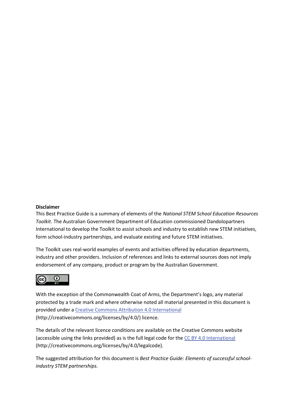#### **Disclaimer**

This Best Practice Guide is a summary of elements of the *National STEM School Education Resources Toolkit*. The Australian Government Department of Education commissioned Dandolopartners International to develop the Toolkit to assist schools and industry to establish new STEM initiatives, form school-industry partnerships, and evaluate existing and future STEM initiatives.

The Toolkit uses real-world examples of events and activities offered by education departments, industry and other providers. Inclusion of references and links to external sources does not imply endorsement of any company, product or program by the Australian Government.



With the exception of the Commonwealth Coat of Arms, the Department's logo, any material protected by a trade mark and where otherwise noted all material presented in this document is provided under a [Creative Commons Attribution 4.0 International](http://dnet.hosts.network/education/Resources/Documents/Creative%20Commons%20Attribution%204.0%20International) (http://creativecommons.org/licenses/by/4.0/) licence.

The details of the relevant licence conditions are available on the Creative Commons website (accessible using the links provided) as is the full legal code for th[e CC BY 4.0 International](http://dnet.hosts.network/education/Resources/Documents/CC%20BY%204.0%20International) (http://creativecommons.org/licenses/by/4.0/legalcode).

The suggested attribution for this document is *Best Practice Guide: Elements of successful schoolindustry STEM partnerships*.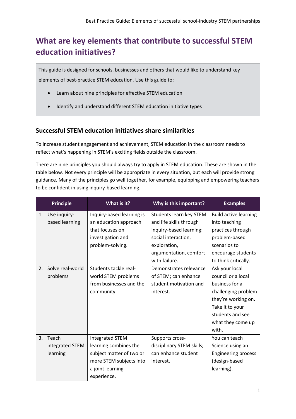## **What are key elements that contribute to successful STEM education initiatives?**

This guide is designed for schools, businesses and others that would like to understand key elements of best-practice STEM education. Use this guide to:

- Learn about nine principles for effective STEM education
- Identify and understand different STEM education initiative types

### **Successful STEM education initiatives share similarities**

To increase student engagement and achievement, STEM education in the classroom needs to reflect what's happening in STEM's exciting fields outside the classroom.

There are nine principles you should always try to apply in STEM education. These are shown in the table below. Not every principle will be appropriate in every situation, but each will provide strong guidance. Many of the principles go well together, for example, equipping and empowering teachers to be confident in using inquiry-based learning.

|    | <b>Principle</b>                     | What is it?                                                                                                                               | Why is this important?                                                                                               | <b>Examples</b>                                                                                                                                                           |
|----|--------------------------------------|-------------------------------------------------------------------------------------------------------------------------------------------|----------------------------------------------------------------------------------------------------------------------|---------------------------------------------------------------------------------------------------------------------------------------------------------------------------|
| 1. | Use inquiry-<br>based learning       | Inquiry-based learning is<br>an education approach<br>that focuses on<br>investigation and<br>problem-solving.                            | Students learn key STEM<br>and life skills through<br>inquiry-based learning:<br>social interaction,<br>exploration, | <b>Build active learning</b><br>into teaching<br>practices through<br>problem-based<br>scenarios to                                                                       |
|    |                                      |                                                                                                                                           | argumentation, comfort<br>with failure.                                                                              | encourage students<br>to think critically.                                                                                                                                |
| 2. | Solve real-world<br>problems         | Students tackle real-<br>world STEM problems<br>from businesses and the<br>community.                                                     | Demonstrates relevance<br>of STEM; can enhance<br>student motivation and<br>interest.                                | Ask your local<br>council or a local<br>business for a<br>challenging problem<br>they're working on.<br>Take it to your<br>students and see<br>what they come up<br>with. |
| 3. | Teach<br>integrated STEM<br>learning | <b>Integrated STEM</b><br>learning combines the<br>subject matter of two or<br>more STEM subjects into<br>a joint learning<br>experience. | Supports cross-<br>disciplinary STEM skills;<br>can enhance student<br>interest.                                     | You can teach<br>Science using an<br><b>Engineering process</b><br>(design-based<br>learning).                                                                            |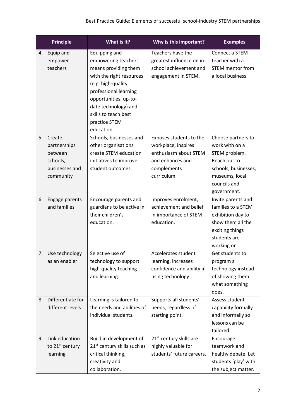#### Best Practice Guide: Elements of successful school-industry STEM partnerships

|    | <b>Principle</b>                                                             | What is it?                                                                                                                                                                                                                                     | Why is this important?                                                                                                    | <b>Examples</b>                                                                                                                                |
|----|------------------------------------------------------------------------------|-------------------------------------------------------------------------------------------------------------------------------------------------------------------------------------------------------------------------------------------------|---------------------------------------------------------------------------------------------------------------------------|------------------------------------------------------------------------------------------------------------------------------------------------|
| 4. | Equip and<br>empower<br>teachers                                             | Equipping and<br>empowering teachers<br>means providing them<br>with the right resources<br>(e.g. high-quality<br>professional learning<br>opportunities, up-to-<br>date technology) and<br>skills to teach best<br>practice STEM<br>education. | Teachers have the<br>greatest influence on in-<br>school achievement and<br>engagement in STEM.                           | Connect a STEM<br>teacher with a<br><b>STEM mentor from</b><br>a local business.                                                               |
| 5. | Create<br>partnerships<br>between<br>schools,<br>businesses and<br>community | Schools, businesses and<br>other organisations<br>create STEM education<br>initiatives to improve<br>student outcomes.                                                                                                                          | Exposes students to the<br>workplace, inspires<br>enthusiasm about STEM<br>and enhances and<br>complements<br>curriculum. | Choose partners to<br>work with on a<br>STEM problem.<br>Reach out to<br>schools, businesses,<br>museums, local<br>councils and<br>government. |
| 6. | Engage parents<br>and families                                               | Encourage parents and<br>guardians to be active in<br>their children's<br>education.                                                                                                                                                            | Improves enrolment,<br>achievement and belief<br>in importance of STEM<br>education.                                      | Invite parents and<br>families to a STEM<br>exhibition day to<br>show them all the<br>exciting things<br>students are<br>working on.           |
| 7. | Use technology<br>as an enabler                                              | Selective use of<br>technology to support<br>high-quality teaching<br>and learning.                                                                                                                                                             | Accelerates student<br>learning, increases<br>confidence and ability in<br>using technology.                              | Get students to<br>program a<br>technology instead<br>of showing them<br>what something<br>does.                                               |
| 8. | Differentiate for<br>different levels                                        | Learning is tailored to<br>the needs and abilities of<br>individual students.                                                                                                                                                                   | Supports all students'<br>needs, regardless of<br>starting point.                                                         | Assess student<br>capability formally<br>and informally so<br>lessons can be<br>tailored.                                                      |
| 9. | Link education<br>to 21 <sup>st</sup> century<br>learning                    | Build in development of<br>21 <sup>st</sup> century skills such as<br>critical thinking,<br>creativity and<br>collaboration.                                                                                                                    | 21 <sup>st</sup> century skills are<br>highly valuable for<br>students' future careers.                                   | Encourage<br>teamwork and<br>healthy debate. Let<br>students 'play' with<br>the subject matter.                                                |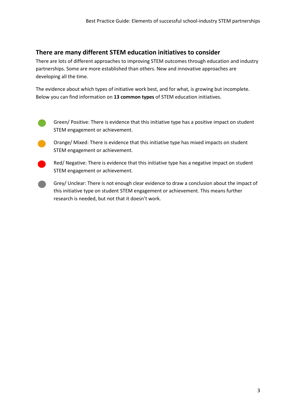#### **There are many different STEM education initiatives to consider**

There are lots of different approaches to improving STEM outcomes through education and industry partnerships. Some are more established than others. New and innovative approaches are developing all the time.

The evidence about which types of initiative work best, and for what, is growing but incomplete. Below you can find information on **13 common types** of STEM education initiatives.

c

Green/ Positive: There is evidence that this initiative type has a positive impact on student STEM engagement or achievement.

Orange/ Mixed: There is evidence that this initiative type has mixed impacts on student STEM engagement or achievement.

Red/ Negative: There is evidence that this initiative type has a negative impact on student STEM engagement or achievement.

Grey/ Unclear: There is not enough clear evidence to draw a conclusion about the impact of this initiative type on student STEM engagement or achievement. This means further research is needed, but not that it doesn't work.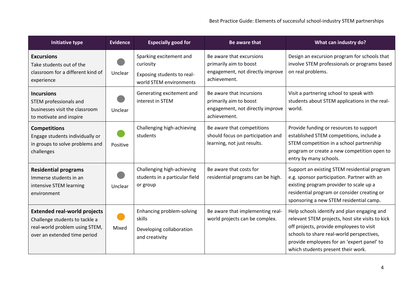| <b>Initiative type</b>                                                                                                                  | <b>Evidence</b> | <b>Especially good for</b>                                                                    | <b>Be aware that</b>                                                                                   | What can industry do?                                                                                                                                                                                                                                                        |
|-----------------------------------------------------------------------------------------------------------------------------------------|-----------------|-----------------------------------------------------------------------------------------------|--------------------------------------------------------------------------------------------------------|------------------------------------------------------------------------------------------------------------------------------------------------------------------------------------------------------------------------------------------------------------------------------|
| <b>Excursions</b><br>Take students out of the<br>classroom for a different kind of<br>experience                                        | Unclear         | Sparking excitement and<br>curiosity<br>Exposing students to real-<br>world STEM environments | Be aware that excursions<br>primarily aim to boost<br>engagement, not directly improve<br>achievement. | Design an excursion program for schools that<br>involve STEM professionals or programs based<br>on real problems.                                                                                                                                                            |
| <b>Incursions</b><br>STEM professionals and<br>businesses visit the classroom<br>to motivate and inspire                                | Unclear         | Generating excitement and<br>interest in STEM                                                 | Be aware that incursions<br>primarily aim to boost<br>engagement, not directly improve<br>achievement. | Visit a partnering school to speak with<br>students about STEM applications in the real-<br>world.                                                                                                                                                                           |
| <b>Competitions</b><br>Engage students individually or<br>in groups to solve problems and<br>challenges                                 | Positive        | Challenging high-achieving<br>students                                                        | Be aware that competitions<br>should focus on participation and<br>learning, not just results.         | Provide funding or resources to support<br>established STEM competitions, include a<br>STEM competition in a school partnership<br>program or create a new competition open to<br>entry by many schools.                                                                     |
| <b>Residential programs</b><br>Immerse students in an<br>intensive STEM learning<br>environment                                         | Unclear         | Challenging high-achieving<br>students in a particular field<br>or group                      | Be aware that costs for<br>residential programs can be high.                                           | Support an existing STEM residential program<br>e.g. sponsor participation. Partner with an<br>existing program provider to scale up a<br>residential program or consider creating or<br>sponsoring a new STEM residential camp.                                             |
| <b>Extended real-world projects</b><br>Challenge students to tackle a<br>real-world problem using STEM,<br>over an extended time period | Mixed           | Enhancing problem-solving<br>skills<br>Developing collaboration<br>and creativity             | Be aware that implementing real-<br>world projects can be complex.                                     | Help schools identify and plan engaging and<br>relevant STEM projects, host site visits to kick<br>off projects, provide employees to visit<br>schools to share real-world perspectives,<br>provide employees for an 'expert panel' to<br>which students present their work. |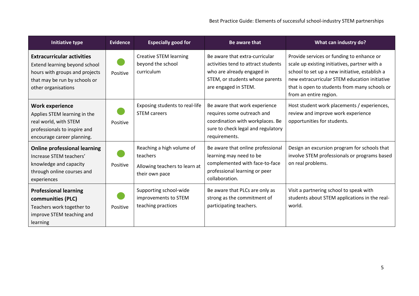| <b>Initiative type</b>                                                                                                                                       | <b>Evidence</b> | <b>Especially good for</b>                                                               | <b>Be aware that</b>                                                                                                                                           | What can industry do?                                                                                                                                                                                                                                                    |
|--------------------------------------------------------------------------------------------------------------------------------------------------------------|-----------------|------------------------------------------------------------------------------------------|----------------------------------------------------------------------------------------------------------------------------------------------------------------|--------------------------------------------------------------------------------------------------------------------------------------------------------------------------------------------------------------------------------------------------------------------------|
| <b>Extracurricular activities</b><br>Extend learning beyond school<br>hours with groups and projects<br>that may be run by schools or<br>other organisations | Positive        | <b>Creative STEM learning</b><br>beyond the school<br>curriculum                         | Be aware that extra-curricular<br>activities tend to attract students<br>who are already engaged in<br>STEM, or students whose parents<br>are engaged in STEM. | Provide services or funding to enhance or<br>scale up existing initiatives, partner with a<br>school to set up a new initiative, establish a<br>new extracurricular STEM education initiative<br>that is open to students from many schools or<br>from an entire region. |
| <b>Work experience</b><br>Applies STEM learning in the<br>real world, with STEM<br>professionals to inspire and<br>encourage career planning.                | Positive        | Exposing students to real-life<br><b>STEM careers</b>                                    | Be aware that work experience<br>requires some outreach and<br>coordination with workplaces. Be<br>sure to check legal and regulatory<br>requirements.         | Host student work placements / experiences,<br>review and improve work experience<br>opportunities for students.                                                                                                                                                         |
| <b>Online professional learning</b><br>Increase STEM teachers'<br>knowledge and capacity<br>through online courses and<br>experiences                        | Positive        | Reaching a high volume of<br>teachers<br>Allowing teachers to learn at<br>their own pace | Be aware that online professional<br>learning may need to be<br>complemented with face-to-face<br>professional learning or peer<br>collaboration.              | Design an excursion program for schools that<br>involve STEM professionals or programs based<br>on real problems.                                                                                                                                                        |
| <b>Professional learning</b><br>communities (PLC)<br>Teachers work together to<br>improve STEM teaching and<br>learning                                      | Positive        | Supporting school-wide<br>improvements to STEM<br>teaching practices                     | Be aware that PLCs are only as<br>strong as the commitment of<br>participating teachers.                                                                       | Visit a partnering school to speak with<br>students about STEM applications in the real-<br>world.                                                                                                                                                                       |